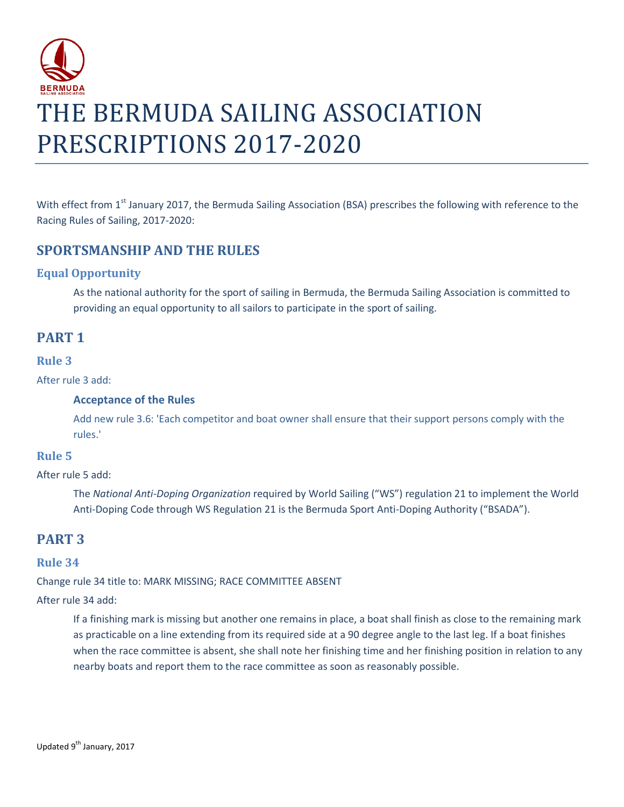

With effect from 1<sup>st</sup> January 2017, the Bermuda Sailing Association (BSA) prescribes the following with reference to the Racing Rules of Sailing, 2017-2020:

## **SPORTSMANSHIP AND THE RULES**

### **Equal Opportunity**

As the national authority for the sport of sailing in Bermuda, the Bermuda Sailing Association is committed to providing an equal opportunity to all sailors to participate in the sport of sailing.

## **PART 1**

#### **Rule 3**

After rule 3 add:

#### **Acceptance of the Rules**

Add new rule 3.6: 'Each competitor and boat owner shall ensure that their support persons comply with the rules.'

### **Rule 5**

After rule 5 add:

The *National Anti-Doping Organization* required by World Sailing ("WS") regulation 21 to implement the World Anti-Doping Code through WS Regulation 21 is the Bermuda Sport Anti-Doping Authority ("BSADA").

## **PART 3**

### **Rule 34**

Change rule 34 title to: MARK MISSING; RACE COMMITTEE ABSENT

After rule 34 add:

If a finishing mark is missing but another one remains in place, a boat shall finish as close to the remaining mark as practicable on a line extending from its required side at a 90 degree angle to the last leg. If a boat finishes when the race committee is absent, she shall note her finishing time and her finishing position in relation to any nearby boats and report them to the race committee as soon as reasonably possible.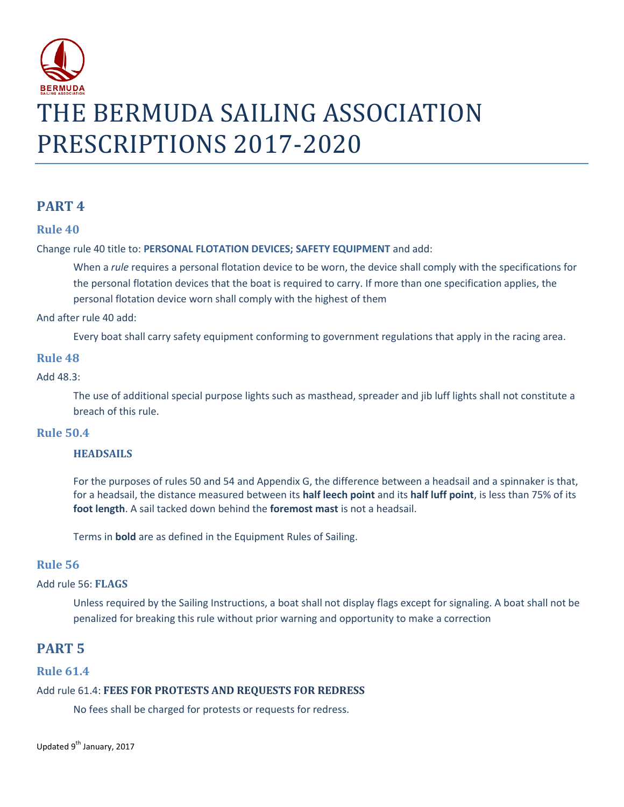

## **PART 4**

### **Rule 40**

#### Change rule 40 title to: **PERSONAL FLOTATION DEVICES; SAFETY EQUIPMENT** and add:

When a *rule* requires a personal flotation device to be worn, the device shall comply with the specifications for the personal flotation devices that the boat is required to carry. If more than one specification applies, the personal flotation device worn shall comply with the highest of them

And after rule 40 add:

Every boat shall carry safety equipment conforming to government regulations that apply in the racing area.

#### **Rule 48**

#### Add 48.3:

The use of additional special purpose lights such as masthead, spreader and jib luff lights shall not constitute a breach of this rule.

#### **Rule 50.4**

#### **HEADSAILS**

For the purposes of rules 50 and 54 and Appendix G, the difference between a headsail and a spinnaker is that, for a headsail, the distance measured between its **half leech point** and its **half luff point**, is less than 75% of its **foot length**. A sail tacked down behind the **foremost mast** is not a headsail.

Terms in **bold** are as defined in the Equipment Rules of Sailing.

#### **Rule 56**

#### Add rule 56: **FLAGS**

Unless required by the Sailing Instructions, a boat shall not display flags except for signaling. A boat shall not be penalized for breaking this rule without prior warning and opportunity to make a correction

## **PART 5**

#### **Rule 61.4**

#### Add rule 61.4: **FEES FOR PROTESTS AND REQUESTS FOR REDRESS**

No fees shall be charged for protests or requests for redress.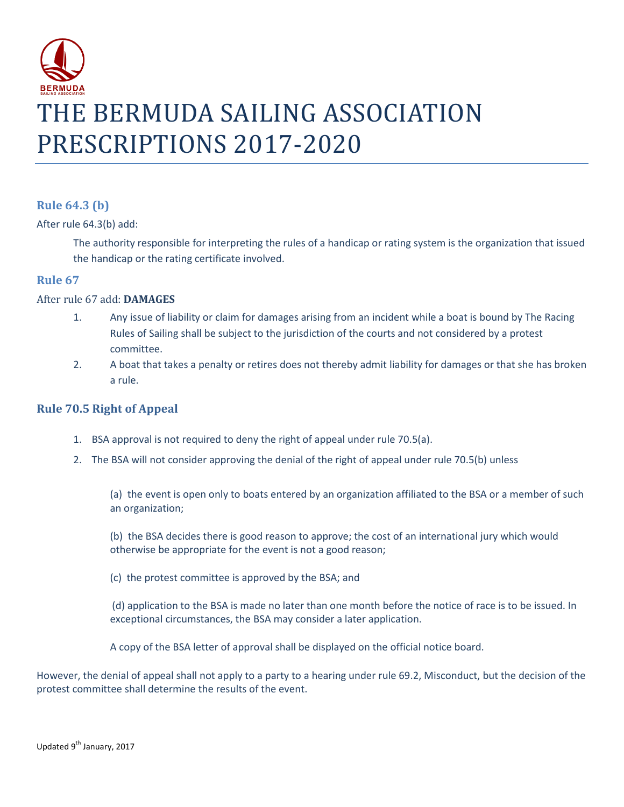

## **Rule 64.3 (b)**

After rule 64.3(b) add:

The authority responsible for interpreting the rules of a handicap or rating system is the organization that issued the handicap or the rating certificate involved.

#### **Rule 67**

#### After rule 67 add: **DAMAGES**

- 1. Any issue of liability or claim for damages arising from an incident while a boat is bound by The Racing Rules of Sailing shall be subject to the jurisdiction of the courts and not considered by a protest committee.
- 2. A boat that takes a penalty or retires does not thereby admit liability for damages or that she has broken a rule.

#### **Rule 70.5 Right of Appeal**

- 1. BSA approval is not required to deny the right of appeal under rule 70.5(a).
- 2. The BSA will not consider approving the denial of the right of appeal under rule 70.5(b) unless

(a) the event is open only to boats entered by an organization affiliated to the BSA or a member of such an organization;

(b) the BSA decides there is good reason to approve; the cost of an international jury which would otherwise be appropriate for the event is not a good reason;

(c) the protest committee is approved by the BSA; and

(d) application to the BSA is made no later than one month before the notice of race is to be issued. In exceptional circumstances, the BSA may consider a later application.

A copy of the BSA letter of approval shall be displayed on the official notice board.

However, the denial of appeal shall not apply to a party to a hearing under rule 69.2, Misconduct, but the decision of the protest committee shall determine the results of the event.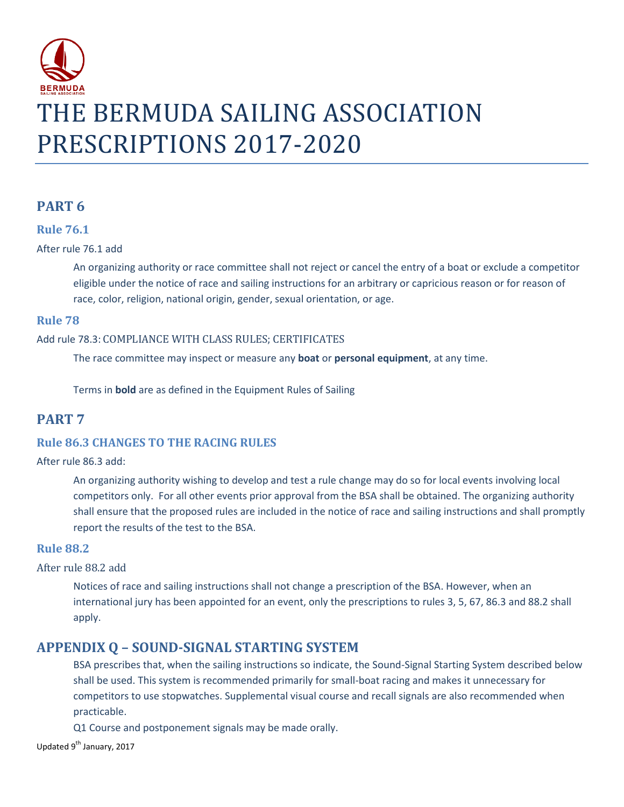

## **PART 6**

#### **Rule 76.1**

#### After rule 76.1 add

An organizing authority or race committee shall not reject or cancel the entry of a boat or exclude a competitor eligible under the notice of race and sailing instructions for an arbitrary or capricious reason or for reason of race, color, religion, national origin, gender, sexual orientation, or age.

### **Rule 78**

### Add rule 78.3: COMPLIANCE WITH CLASS RULES; CERTIFICATES

The race committee may inspect or measure any **boat** or **personal equipment**, at any time.

Terms in **bold** are as defined in the Equipment Rules of Sailing

## **PART 7**

### **Rule 86.3 CHANGES TO THE RACING RULES**

#### After rule 86.3 add:

An organizing authority wishing to develop and test a rule change may do so for local events involving local competitors only. For all other events prior approval from the BSA shall be obtained. The organizing authority shall ensure that the proposed rules are included in the notice of race and sailing instructions and shall promptly report the results of the test to the BSA.

### **Rule 88.2**

#### After rule 88.2 add

Notices of race and sailing instructions shall not change a prescription of the BSA. However, when an international jury has been appointed for an event, only the prescriptions to rules 3, 5, 67, 86.3 and 88.2 shall apply.

## **APPENDIX Q – SOUND-SIGNAL STARTING SYSTEM**

BSA prescribes that, when the sailing instructions so indicate, the Sound-Signal Starting System described below shall be used. This system is recommended primarily for small-boat racing and makes it unnecessary for competitors to use stopwatches. Supplemental visual course and recall signals are also recommended when practicable.

Q1 Course and postponement signals may be made orally.

Updated 9<sup>th</sup> January, 2017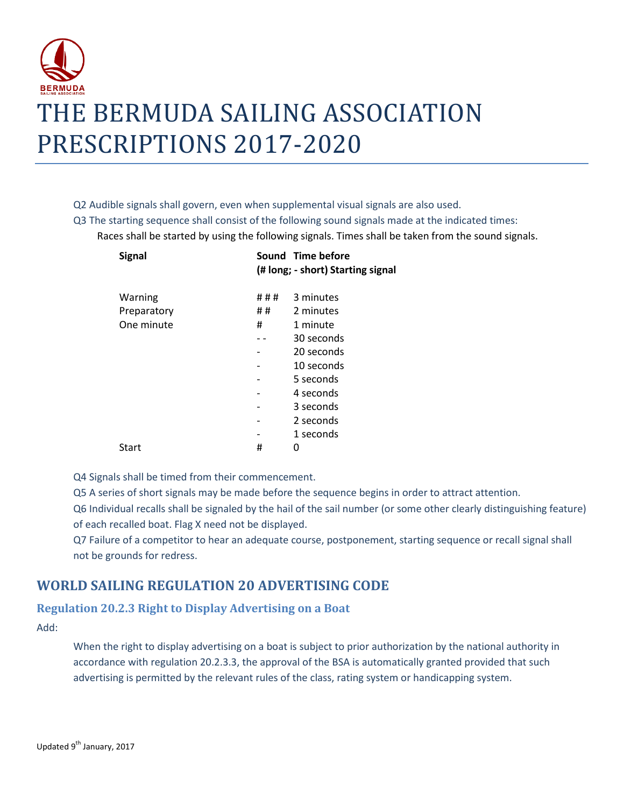

#### Q2 Audible signals shall govern, even when supplemental visual signals are also used.

Q3 The starting sequence shall consist of the following sound signals made at the indicated times: Races shall be started by using the following signals. Times shall be taken from the sound signals.

| <b>Signal</b> |     | Sound Time before<br>(# long; - short) Starting signal |
|---------------|-----|--------------------------------------------------------|
| Warning       | ### | 3 minutes                                              |
| Preparatory   | ##  | 2 minutes                                              |
| One minute    | #   | 1 minute                                               |
|               |     | 30 seconds                                             |
|               |     | 20 seconds                                             |
|               |     | 10 seconds                                             |
|               |     | 5 seconds                                              |
|               |     | 4 seconds                                              |
|               |     | 3 seconds                                              |
|               |     | 2 seconds                                              |
|               |     | 1 seconds                                              |
| Start         | #   | O                                                      |
|               |     |                                                        |

Q4 Signals shall be timed from their commencement.

Q5 A series of short signals may be made before the sequence begins in order to attract attention.

Q6 Individual recalls shall be signaled by the hail of the sail number (or some other clearly distinguishing feature) of each recalled boat. Flag X need not be displayed.

Q7 Failure of a competitor to hear an adequate course, postponement, starting sequence or recall signal shall not be grounds for redress.

## **WORLD SAILING REGULATION 20 ADVERTISING CODE**

### **Regulation 20.2.3 Right to Display Advertising on a Boat**

Add:

When the right to display advertising on a boat is subject to prior authorization by the national authority in accordance with regulation 20.2.3.3, the approval of the BSA is automatically granted provided that such advertising is permitted by the relevant rules of the class, rating system or handicapping system.